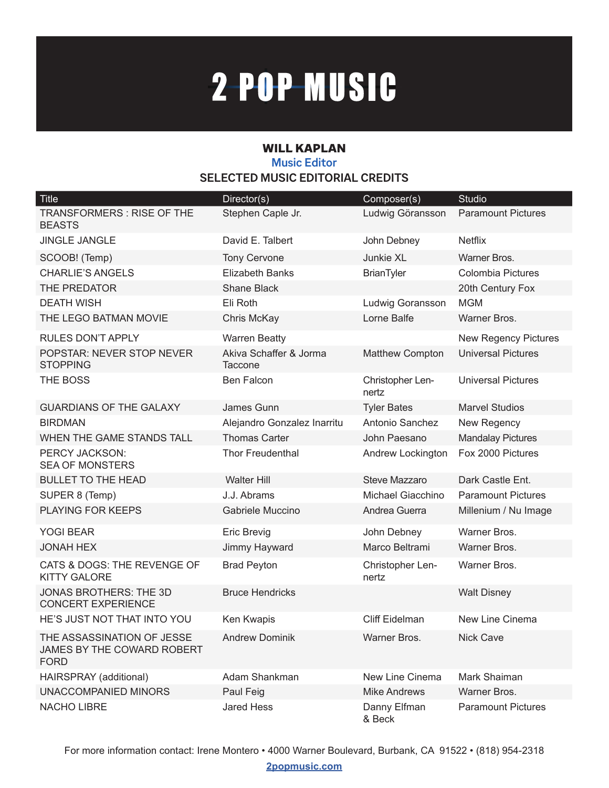## 2-POP-MUSIC

## WILL KAPLAN **Music Editor SELECTED MUSIC EDITORIAL CREDITS**

| <b>Title</b>                                                            | Director(s)                       | Composer(s)               | Studio                      |
|-------------------------------------------------------------------------|-----------------------------------|---------------------------|-----------------------------|
| <b>TRANSFORMERS: RISE OF THE</b><br><b>BEASTS</b>                       | Stephen Caple Jr.                 | Ludwig Göransson          | <b>Paramount Pictures</b>   |
| <b>JINGLE JANGLE</b>                                                    | David E. Talbert                  | John Debney               | <b>Netflix</b>              |
| SCOOB! (Temp)                                                           | <b>Tony Cervone</b>               | Junkie XL                 | Warner Bros.                |
| <b>CHARLIE'S ANGELS</b>                                                 | <b>Elizabeth Banks</b>            | <b>BrianTyler</b>         | <b>Colombia Pictures</b>    |
| THE PREDATOR                                                            | Shane Black                       |                           | 20th Century Fox            |
| <b>DEATH WISH</b>                                                       | Eli Roth                          | Ludwig Goransson          | <b>MGM</b>                  |
| THE LEGO BATMAN MOVIE                                                   | Chris McKay                       | Lorne Balfe               | Warner Bros.                |
| <b>RULES DON'T APPLY</b>                                                | <b>Warren Beatty</b>              |                           | <b>New Regency Pictures</b> |
| POPSTAR: NEVER STOP NEVER<br><b>STOPPING</b>                            | Akiva Schaffer & Jorma<br>Taccone | <b>Matthew Compton</b>    | <b>Universal Pictures</b>   |
| THE BOSS                                                                | <b>Ben Falcon</b>                 | Christopher Len-<br>nertz | <b>Universal Pictures</b>   |
| <b>GUARDIANS OF THE GALAXY</b>                                          | James Gunn                        | <b>Tyler Bates</b>        | <b>Marvel Studios</b>       |
| <b>BIRDMAN</b>                                                          | Alejandro Gonzalez Inarritu       | Antonio Sanchez           | New Regency                 |
| WHEN THE GAME STANDS TALL                                               | <b>Thomas Carter</b>              | John Paesano              | <b>Mandalay Pictures</b>    |
| PERCY JACKSON:<br><b>SEA OF MONSTERS</b>                                | <b>Thor Freudenthal</b>           | Andrew Lockington         | Fox 2000 Pictures           |
| <b>BULLET TO THE HEAD</b>                                               | <b>Walter Hill</b>                | <b>Steve Mazzaro</b>      | Dark Castle Ent.            |
| SUPER 8 (Temp)                                                          | J.J. Abrams                       | Michael Giacchino         | <b>Paramount Pictures</b>   |
| PLAYING FOR KEEPS                                                       | Gabriele Muccino                  | Andrea Guerra             | Millenium / Nu Image        |
| <b>YOGI BEAR</b>                                                        | Eric Brevig                       | John Debney               | Warner Bros.                |
| <b>JONAH HEX</b>                                                        | Jimmy Hayward                     | Marco Beltrami            | Warner Bros.                |
| CATS & DOGS: THE REVENGE OF<br><b>KITTY GALORE</b>                      | <b>Brad Peyton</b>                | Christopher Len-<br>nertz | Warner Bros.                |
| <b>JONAS BROTHERS: THE 3D</b><br><b>CONCERT EXPERIENCE</b>              | <b>Bruce Hendricks</b>            |                           | <b>Walt Disney</b>          |
| HE'S JUST NOT THAT INTO YOU                                             | Ken Kwapis                        | Cliff Eidelman            | New Line Cinema             |
| THE ASSASSINATION OF JESSE<br>JAMES BY THE COWARD ROBERT<br><b>FORD</b> | <b>Andrew Dominik</b>             | Warner Bros.              | <b>Nick Cave</b>            |
| HAIRSPRAY (additional)                                                  | Adam Shankman                     | New Line Cinema           | Mark Shaiman                |
| <b>UNACCOMPANIED MINORS</b>                                             | Paul Feig                         | <b>Mike Andrews</b>       | Warner Bros.                |
| NACHO LIBRE                                                             | <b>Jared Hess</b>                 | Danny Elfman<br>& Beck    | <b>Paramount Pictures</b>   |